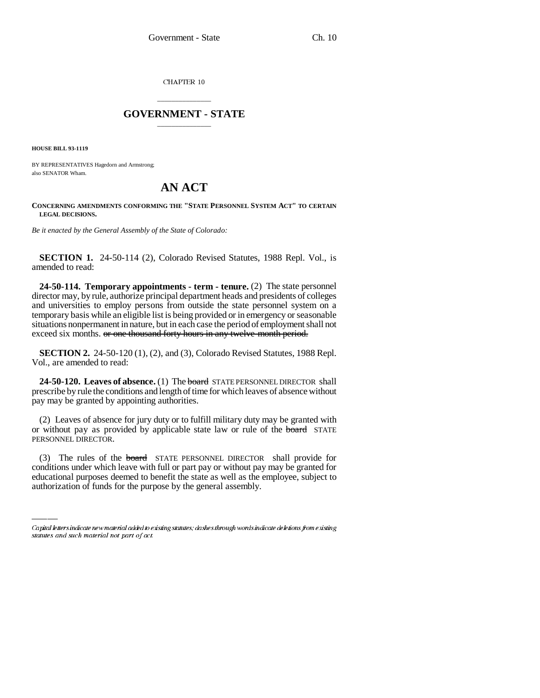CHAPTER 10

## \_\_\_\_\_\_\_\_\_\_\_\_\_\_\_ **GOVERNMENT - STATE** \_\_\_\_\_\_\_\_\_\_\_\_\_\_\_

**HOUSE BILL 93-1119**

BY REPRESENTATIVES Hagedorn and Armstrong; also SENATOR Wham.

## **AN ACT**

**CONCERNING AMENDMENTS CONFORMING THE "STATE PERSONNEL SYSTEM ACT" TO CERTAIN LEGAL DECISIONS.**

*Be it enacted by the General Assembly of the State of Colorado:*

**SECTION 1.** 24-50-114 (2), Colorado Revised Statutes, 1988 Repl. Vol., is amended to read:

**24-50-114. Temporary appointments - term - tenure.** (2) The state personnel director may, by rule, authorize principal department heads and presidents of colleges and universities to employ persons from outside the state personnel system on a temporary basis while an eligible list is being provided or in emergency or seasonable situations nonpermanent in nature, but in each case the period of employment shall not exceed six months. or one thousand forty hours in any twelve-month period.

**SECTION 2.** 24-50-120 (1), (2), and (3), Colorado Revised Statutes, 1988 Repl. Vol., are amended to read:

**24-50-120. Leaves of absence.** (1) The board STATE PERSONNEL DIRECTOR shall prescribe by rule the conditions and length of time for which leaves of absence without pay may be granted by appointing authorities.

(2) Leaves of absence for jury duty or to fulfill military duty may be granted with or without pay as provided by applicable state law or rule of the **board** STATE PERSONNEL DIRECTOR.

(3) The rules of the **board** STATE PERSONNEL DIRECTOR shall provide for conditions under which leave with full or part pay or without pay may be granted for educational purposes deemed to benefit the state as well as the employee, subject to authorization of funds for the purpose by the general assembly.

Capital letters indicate new material added to existing statutes; dashes through words indicate deletions from existing statutes and such material not part of act.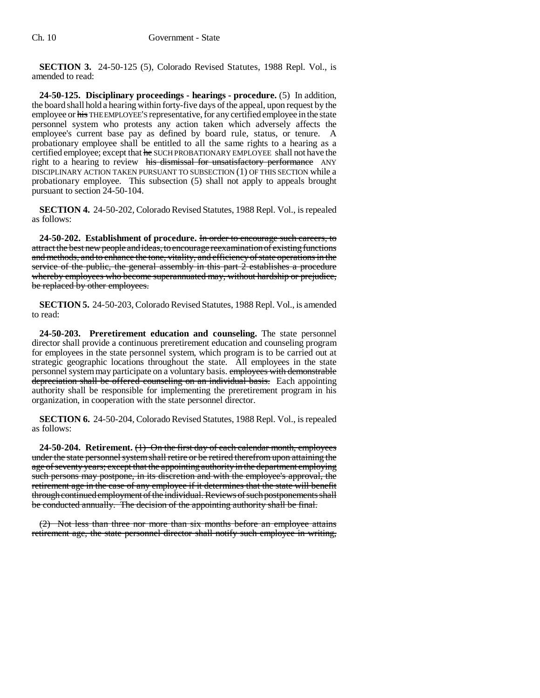**SECTION 3.** 24-50-125 (5), Colorado Revised Statutes, 1988 Repl. Vol., is amended to read:

**24-50-125. Disciplinary proceedings - hearings - procedure.** (5) In addition, the board shall hold a hearing within forty-five days of the appeal, upon request by the employee or his THE EMPLOYEE'S representative, for any certified employee in the state personnel system who protests any action taken which adversely affects the employee's current base pay as defined by board rule, status, or tenure. A probationary employee shall be entitled to all the same rights to a hearing as a certified employee; except that he SUCH PROBATIONARY EMPLOYEE shall not have the right to a hearing to review his dismissal for unsatisfactory performance ANY DISCIPLINARY ACTION TAKEN PURSUANT TO SUBSECTION (1) OF THIS SECTION while a probationary employee. This subsection (5) shall not apply to appeals brought pursuant to section 24-50-104.

**SECTION 4.** 24-50-202, Colorado Revised Statutes, 1988 Repl. Vol., is repealed as follows:

**24-50-202. Establishment of procedure.** In order to encourage such careers, to attract the best new people and ideas, to encourage reexamination of existing functions and methods, and to enhance the tone, vitality, and efficiency of state operations in the service of the public, the general assembly in this part 2 establishes a procedure whereby employees who become superannuated may, without hardship or prejudice, be replaced by other employees.

**SECTION 5.** 24-50-203, Colorado Revised Statutes, 1988 Repl. Vol., is amended to read:

**24-50-203. Preretirement education and counseling.** The state personnel director shall provide a continuous preretirement education and counseling program for employees in the state personnel system, which program is to be carried out at strategic geographic locations throughout the state. All employees in the state personnel system may participate on a voluntary basis. employees with demonstrable depreciation shall be offered counseling on an individual basis. Each appointing authority shall be responsible for implementing the preretirement program in his organization, in cooperation with the state personnel director.

**SECTION 6.** 24-50-204, Colorado Revised Statutes, 1988 Repl. Vol., is repealed as follows:

**24-50-204. Retirement.** (1) On the first day of each calendar month, employees under the state personnel system shall retire or be retired therefrom upon attaining the age of seventy years; except that the appointing authority in the department employing such persons may postpone, in its discretion and with the employee's approval, the retirement age in the case of any employee if it determines that the state will benefit through continued employment of the individual. Reviews of such postponements shall be conducted annually. The decision of the appointing authority shall be final.

(2) Not less than three nor more than six months before an employee attains retirement age, the state personnel director shall notify such employee in writing,